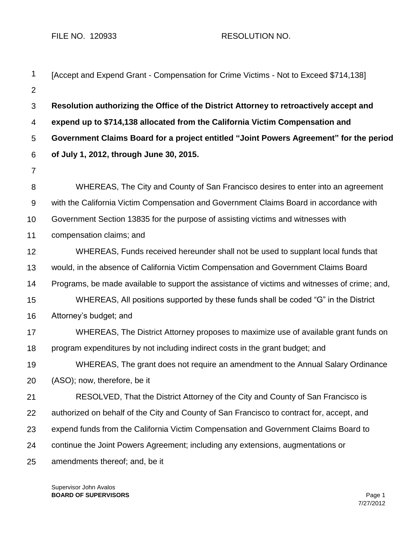FILE NO. 120933 RESOLUTION NO.

| 1              | [Accept and Expend Grant - Compensation for Crime Victims - Not to Exceed \$714,138]          |  |  |
|----------------|-----------------------------------------------------------------------------------------------|--|--|
| 2              |                                                                                               |  |  |
| 3              | Resolution authorizing the Office of the District Attorney to retroactively accept and        |  |  |
| $\overline{4}$ | expend up to \$714,138 allocated from the California Victim Compensation and                  |  |  |
| 5              | Government Claims Board for a project entitled "Joint Powers Agreement" for the period        |  |  |
| 6              | of July 1, 2012, through June 30, 2015.                                                       |  |  |
| $\overline{7}$ |                                                                                               |  |  |
| 8              | WHEREAS, The City and County of San Francisco desires to enter into an agreement              |  |  |
| $9\,$          | with the California Victim Compensation and Government Claims Board in accordance with        |  |  |
| 10             | Government Section 13835 for the purpose of assisting victims and witnesses with              |  |  |
| 11             | compensation claims; and                                                                      |  |  |
| 12             | WHEREAS, Funds received hereunder shall not be used to supplant local funds that              |  |  |
| 13             | would, in the absence of California Victim Compensation and Government Claims Board           |  |  |
| 14             | Programs, be made available to support the assistance of victims and witnesses of crime; and, |  |  |
| 15             | WHEREAS, All positions supported by these funds shall be coded "G" in the District            |  |  |
| 16             | Attorney's budget; and                                                                        |  |  |
| 17             | WHEREAS, The District Attorney proposes to maximize use of available grant funds on           |  |  |
| 18             | program expenditures by not including indirect costs in the grant budget; and                 |  |  |
| 19             | WHEREAS, The grant does not require an amendment to the Annual Salary Ordinance               |  |  |
| 20             | (ASO); now, therefore, be it                                                                  |  |  |
| 21             | RESOLVED, That the District Attorney of the City and County of San Francisco is               |  |  |
| 22             | authorized on behalf of the City and County of San Francisco to contract for, accept, and     |  |  |
| 23             | expend funds from the California Victim Compensation and Government Claims Board to           |  |  |
| 24             | continue the Joint Powers Agreement; including any extensions, augmentations or               |  |  |
| 25             | amendments thereof; and, be it                                                                |  |  |
|                |                                                                                               |  |  |

Supervisor John Avalos **BOARD OF SUPERVISORS** Page 1